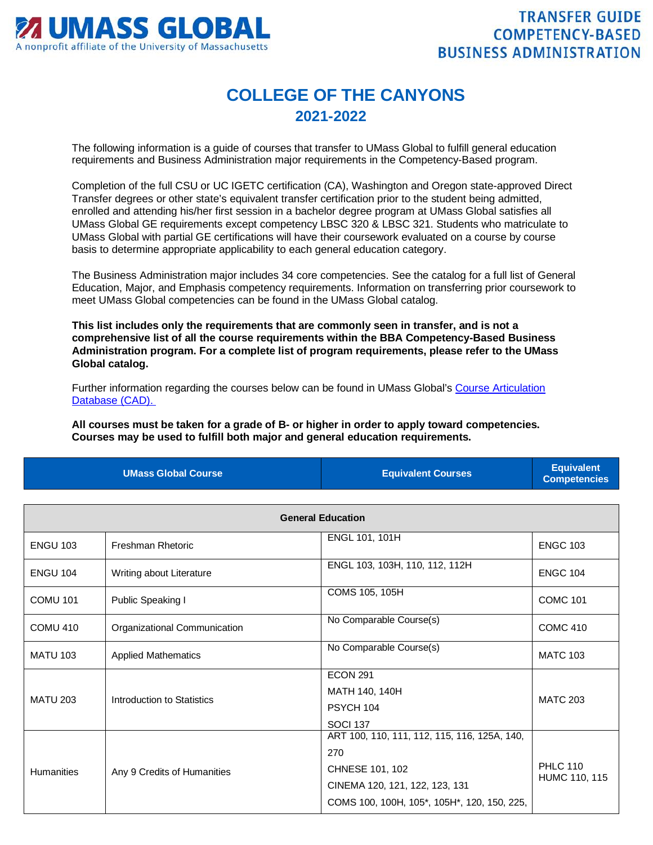

## **COLLEGE OF THE CANYONS 2021-2022**

The following information is a guide of courses that transfer to UMass Global to fulfill general education requirements and Business Administration major requirements in the Competency-Based program.

Completion of the full CSU or UC IGETC certification (CA), Washington and Oregon state-approved Direct Transfer degrees or other state's equivalent transfer certification prior to the student being admitted, enrolled and attending his/her first session in a bachelor degree program at UMass Global satisfies all UMass Global GE requirements except competency LBSC 320 & LBSC 321. Students who matriculate to UMass Global with partial GE certifications will have their coursework evaluated on a course by course basis to determine appropriate applicability to each general education category.

The Business Administration major includes 34 core competencies. See the catalog for a full list of General Education, Major, and Emphasis competency requirements. Information on transferring prior coursework to meet UMass Global competencies can be found in the UMass Global catalog.

**This list includes only the requirements that are commonly seen in transfer, and is not a comprehensive list of all the course requirements within the BBA Competency-Based Business Administration program. For a complete list of program requirements, please refer to the UMass Global catalog.**

Further information regarding the courses below can be found in UMass Global's [Course Articulation](http://services.umassglobal.edu/studentservices/TransferCredit/)  [Database \(CAD\).](http://services.umassglobal.edu/studentservices/TransferCredit/) 

**All courses must be taken for a grade of B- or higher in order to apply toward competencies. Courses may be used to fulfill both major and general education requirements.** 

| <b>UMass Global Course</b> | <b>Equivalent Courses</b> | <b>Equivalent</b><br>Competencies |
|----------------------------|---------------------------|-----------------------------------|
|                            |                           |                                   |

| <b>General Education</b> |                              |                                                                                                                                                         |                                  |
|--------------------------|------------------------------|---------------------------------------------------------------------------------------------------------------------------------------------------------|----------------------------------|
| <b>ENGU 103</b>          | <b>Freshman Rhetoric</b>     | ENGL 101, 101H                                                                                                                                          | <b>ENGC 103</b>                  |
| <b>ENGU 104</b>          | Writing about Literature     | ENGL 103, 103H, 110, 112, 112H                                                                                                                          | <b>ENGC 104</b>                  |
| <b>COMU 101</b>          | Public Speaking I            | COMS 105, 105H                                                                                                                                          | <b>COMC 101</b>                  |
| <b>COMU 410</b>          | Organizational Communication | No Comparable Course(s)                                                                                                                                 | <b>COMC 410</b>                  |
| <b>MATU 103</b>          | <b>Applied Mathematics</b>   | No Comparable Course(s)                                                                                                                                 | <b>MATC 103</b>                  |
| <b>MATU 203</b>          | Introduction to Statistics   | <b>ECON 291</b><br>MATH 140, 140H<br>PSYCH 104<br><b>SOCI 137</b>                                                                                       | <b>MATC 203</b>                  |
| <b>Humanities</b>        | Any 9 Credits of Humanities  | ART 100, 110, 111, 112, 115, 116, 125A, 140,<br>270<br>CHNESE 101, 102<br>CINEMA 120, 121, 122, 123, 131<br>COMS 100, 100H, 105*, 105H*, 120, 150, 225, | <b>PHLC 110</b><br>HUMC 110, 115 |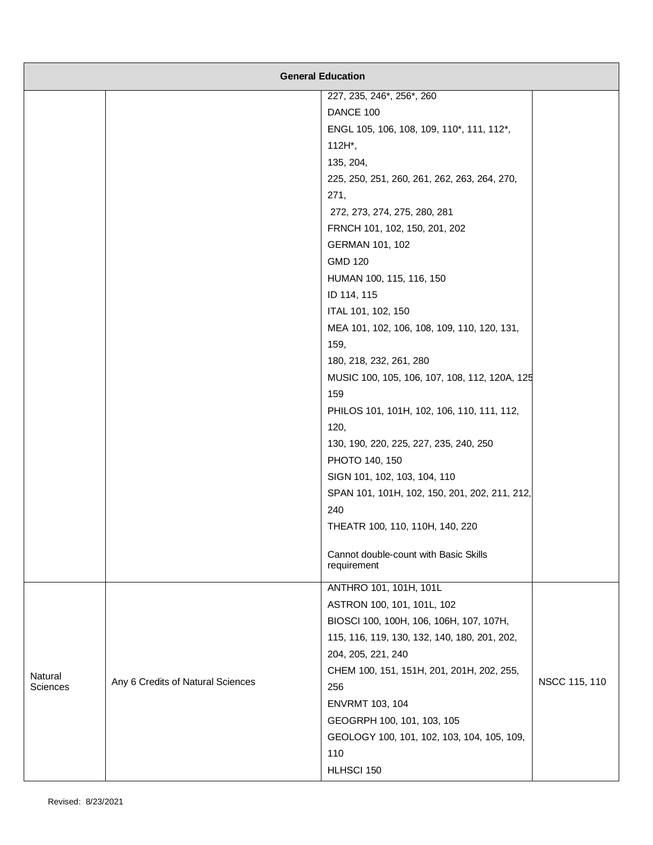| <b>General Education</b> |                                   |                                                      |               |
|--------------------------|-----------------------------------|------------------------------------------------------|---------------|
|                          |                                   | 227, 235, 246*, 256*, 260                            |               |
|                          |                                   | DANCE 100                                            |               |
|                          |                                   | ENGL 105, 106, 108, 109, 110*, 111, 112*,            |               |
|                          |                                   | 112H*,                                               |               |
|                          |                                   | 135, 204,                                            |               |
|                          |                                   | 225, 250, 251, 260, 261, 262, 263, 264, 270,         |               |
|                          |                                   | 271,                                                 |               |
|                          |                                   | 272, 273, 274, 275, 280, 281                         |               |
|                          |                                   | FRNCH 101, 102, 150, 201, 202                        |               |
|                          |                                   | GERMAN 101, 102                                      |               |
|                          |                                   | <b>GMD 120</b>                                       |               |
|                          |                                   | HUMAN 100, 115, 116, 150                             |               |
|                          |                                   | ID 114, 115                                          |               |
|                          |                                   | ITAL 101, 102, 150                                   |               |
|                          |                                   | MEA 101, 102, 106, 108, 109, 110, 120, 131,          |               |
|                          |                                   | 159,                                                 |               |
|                          |                                   | 180, 218, 232, 261, 280                              |               |
|                          |                                   | MUSIC 100, 105, 106, 107, 108, 112, 120A, 125        |               |
|                          |                                   | 159                                                  |               |
|                          |                                   | PHILOS 101, 101H, 102, 106, 110, 111, 112,           |               |
|                          |                                   | 120,                                                 |               |
|                          |                                   | 130, 190, 220, 225, 227, 235, 240, 250               |               |
|                          |                                   | PHOTO 140, 150                                       |               |
|                          |                                   | SIGN 101, 102, 103, 104, 110                         |               |
|                          |                                   | SPAN 101, 101H, 102, 150, 201, 202, 211, 212,        |               |
|                          |                                   | 240                                                  |               |
|                          |                                   | THEATR 100, 110, 110H, 140, 220                      |               |
|                          |                                   | Cannot double-count with Basic Skills<br>requirement |               |
|                          |                                   | ANTHRO 101, 101H, 101L                               |               |
|                          |                                   | ASTRON 100, 101, 101L, 102                           |               |
|                          |                                   | BIOSCI 100, 100H, 106, 106H, 107, 107H,              |               |
|                          |                                   | 115, 116, 119, 130, 132, 140, 180, 201, 202,         |               |
|                          |                                   | 204, 205, 221, 240                                   |               |
| Natural                  |                                   | CHEM 100, 151, 151H, 201, 201H, 202, 255,            |               |
| <b>Sciences</b>          | Any 6 Credits of Natural Sciences | 256                                                  | NSCC 115, 110 |
|                          |                                   | ENVRMT 103, 104                                      |               |
|                          |                                   | GEOGRPH 100, 101, 103, 105                           |               |
|                          |                                   | GEOLOGY 100, 101, 102, 103, 104, 105, 109,           |               |
|                          |                                   | 110                                                  |               |
|                          |                                   | HLHSCI 150                                           |               |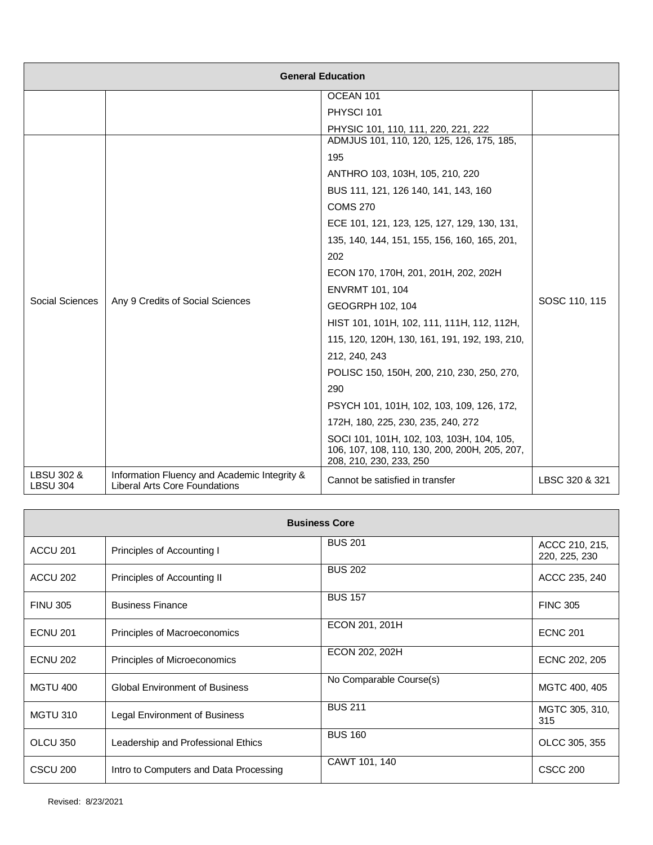| <b>General Education</b>                            |                                                                                      |                                                                                                                       |                |
|-----------------------------------------------------|--------------------------------------------------------------------------------------|-----------------------------------------------------------------------------------------------------------------------|----------------|
|                                                     |                                                                                      | OCEAN 101                                                                                                             |                |
|                                                     |                                                                                      | PHYSCI 101                                                                                                            |                |
|                                                     |                                                                                      | PHYSIC 101, 110, 111, 220, 221, 222                                                                                   |                |
|                                                     |                                                                                      | ADMJUS 101, 110, 120, 125, 126, 175, 185,                                                                             |                |
|                                                     |                                                                                      | 195                                                                                                                   |                |
|                                                     |                                                                                      | ANTHRO 103, 103H, 105, 210, 220                                                                                       |                |
|                                                     |                                                                                      | BUS 111, 121, 126 140, 141, 143, 160                                                                                  |                |
|                                                     |                                                                                      | <b>COMS 270</b>                                                                                                       |                |
|                                                     |                                                                                      | ECE 101, 121, 123, 125, 127, 129, 130, 131,                                                                           |                |
|                                                     |                                                                                      | 135, 140, 144, 151, 155, 156, 160, 165, 201,                                                                          |                |
|                                                     |                                                                                      | 202                                                                                                                   |                |
|                                                     |                                                                                      | ECON 170, 170H, 201, 201H, 202, 202H                                                                                  |                |
|                                                     |                                                                                      | <b>ENVRMT 101, 104</b>                                                                                                |                |
| Social Sciences<br>Any 9 Credits of Social Sciences | GEOGRPH 102, 104                                                                     | SOSC 110, 115                                                                                                         |                |
|                                                     |                                                                                      | HIST 101, 101H, 102, 111, 111H, 112, 112H,                                                                            |                |
|                                                     |                                                                                      | 115, 120, 120H, 130, 161, 191, 192, 193, 210,                                                                         |                |
|                                                     |                                                                                      | 212, 240, 243                                                                                                         |                |
|                                                     | POLISC 150, 150H, 200, 210, 230, 250, 270,                                           |                                                                                                                       |                |
|                                                     | 290                                                                                  |                                                                                                                       |                |
|                                                     | PSYCH 101, 101H, 102, 103, 109, 126, 172,                                            |                                                                                                                       |                |
|                                                     |                                                                                      | 172H, 180, 225, 230, 235, 240, 272                                                                                    |                |
|                                                     |                                                                                      | SOCI 101, 101H, 102, 103, 103H, 104, 105,<br>106, 107, 108, 110, 130, 200, 200H, 205, 207,<br>208, 210, 230, 233, 250 |                |
| LBSU 302 &<br><b>LBSU 304</b>                       | Information Fluency and Academic Integrity &<br><b>Liberal Arts Core Foundations</b> | Cannot be satisfied in transfer                                                                                       | LBSC 320 & 321 |

| <b>Business Core</b> |                                        |                         |                                 |
|----------------------|----------------------------------------|-------------------------|---------------------------------|
| ACCU <sub>201</sub>  | Principles of Accounting I             | <b>BUS 201</b>          | ACCC 210, 215,<br>220, 225, 230 |
| ACCU 202             | Principles of Accounting II            | <b>BUS 202</b>          | ACCC 235, 240                   |
| <b>FINU 305</b>      | <b>Business Finance</b>                | <b>BUS 157</b>          | <b>FINC 305</b>                 |
| <b>ECNU 201</b>      | Principles of Macroeconomics           | ECON 201, 201H          | <b>ECNC 201</b>                 |
| <b>ECNU 202</b>      | Principles of Microeconomics           | ECON 202, 202H          | ECNC 202, 205                   |
| <b>MGTU 400</b>      | <b>Global Environment of Business</b>  | No Comparable Course(s) | MGTC 400, 405                   |
| <b>MGTU 310</b>      | Legal Environment of Business          | <b>BUS 211</b>          | MGTC 305, 310,<br>315           |
| OLCU 350             | Leadership and Professional Ethics     | <b>BUS 160</b>          | OLCC 305, 355                   |
| CSCU <sub>200</sub>  | Intro to Computers and Data Processing | CAWT 101, 140           | <b>CSCC 200</b>                 |